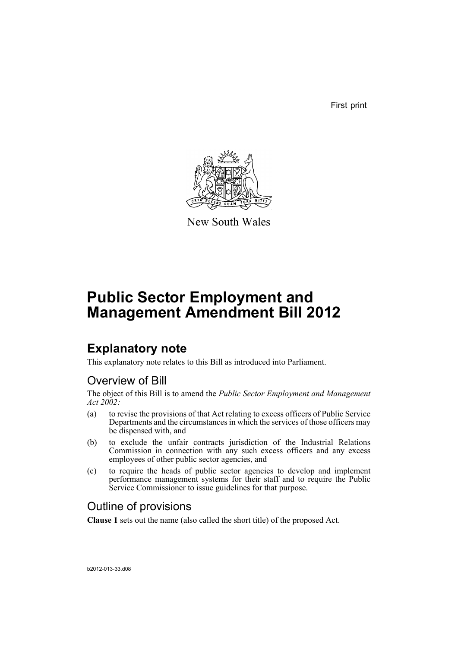First print



New South Wales

# **Public Sector Employment and Management Amendment Bill 2012**

## **Explanatory note**

This explanatory note relates to this Bill as introduced into Parliament.

### Overview of Bill

The object of this Bill is to amend the *Public Sector Employment and Management Act 2002:*

- (a) to revise the provisions of that Act relating to excess officers of Public Service Departments and the circumstances in which the services of those officers may be dispensed with, and
- (b) to exclude the unfair contracts jurisdiction of the Industrial Relations Commission in connection with any such excess officers and any excess employees of other public sector agencies, and
- (c) to require the heads of public sector agencies to develop and implement performance management systems for their staff and to require the Public Service Commissioner to issue guidelines for that purpose.

### Outline of provisions

**Clause 1** sets out the name (also called the short title) of the proposed Act.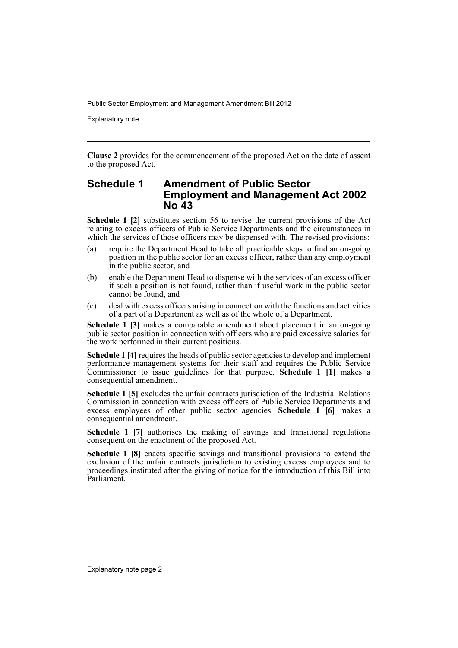Explanatory note

**Clause 2** provides for the commencement of the proposed Act on the date of assent to the proposed Act.

#### **Schedule 1 Amendment of Public Sector Employment and Management Act 2002 No 43**

**Schedule 1 [2]** substitutes section 56 to revise the current provisions of the Act relating to excess officers of Public Service Departments and the circumstances in which the services of those officers may be dispensed with. The revised provisions:

- (a) require the Department Head to take all practicable steps to find an on-going position in the public sector for an excess officer, rather than any employment in the public sector, and
- (b) enable the Department Head to dispense with the services of an excess officer if such a position is not found, rather than if useful work in the public sector cannot be found, and
- (c) deal with excess officers arising in connection with the functions and activities of a part of a Department as well as of the whole of a Department.

**Schedule 1 [3]** makes a comparable amendment about placement in an on-going public sector position in connection with officers who are paid excessive salaries for the work performed in their current positions.

**Schedule 1 [4]** requires the heads of public sector agencies to develop and implement performance management systems for their staff and requires the Public Service Commissioner to issue guidelines for that purpose. **Schedule 1 [1]** makes a consequential amendment.

**Schedule 1 [5]** excludes the unfair contracts jurisdiction of the Industrial Relations Commission in connection with excess officers of Public Service Departments and excess employees of other public sector agencies. **Schedule 1 [6]** makes a consequential amendment.

**Schedule 1** [7] authorises the making of savings and transitional regulations consequent on the enactment of the proposed Act.

**Schedule 1 [8]** enacts specific savings and transitional provisions to extend the exclusion of the unfair contracts jurisdiction to existing excess employees and to proceedings instituted after the giving of notice for the introduction of this Bill into Parliament.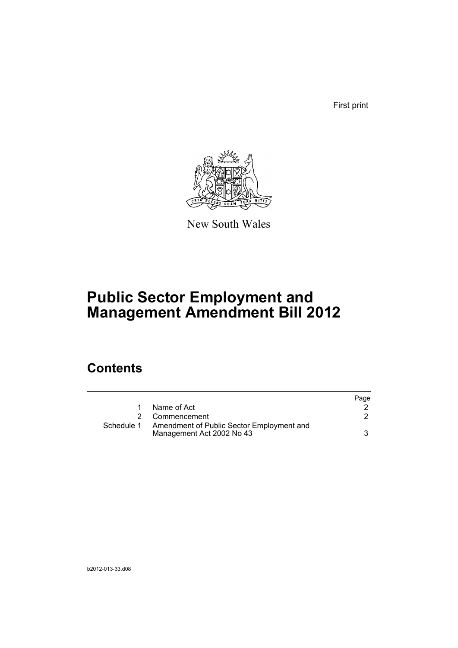First print



New South Wales

# **Public Sector Employment and Management Amendment Bill 2012**

## **Contents**

|            |                                                                        | Page |
|------------|------------------------------------------------------------------------|------|
|            | Name of Act                                                            |      |
|            | Commencement                                                           |      |
| Schedule 1 | Amendment of Public Sector Employment and<br>Management Act 2002 No 43 | 3    |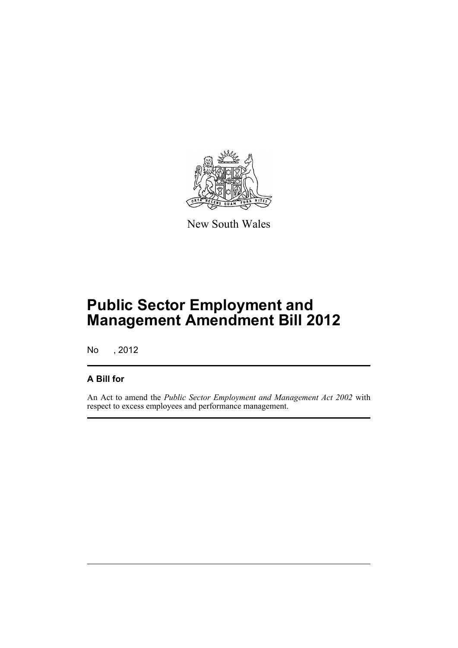

New South Wales

## **Public Sector Employment and Management Amendment Bill 2012**

No , 2012

#### **A Bill for**

An Act to amend the *Public Sector Employment and Management Act 2002* with respect to excess employees and performance management.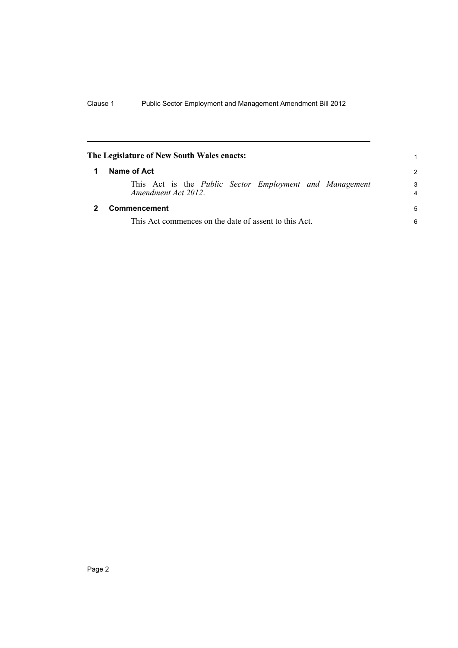<span id="page-5-1"></span><span id="page-5-0"></span>

|   | The Legislature of New South Wales enacts:                                           |                     |  |
|---|--------------------------------------------------------------------------------------|---------------------|--|
| 1 | Name of Act                                                                          | $\mathcal{P}$       |  |
|   | This Act is the <i>Public Sector Employment and Management</i><br>Amendment Act 2012 | 3<br>$\overline{4}$ |  |
|   | Commencement                                                                         | 5                   |  |
|   | This Act commences on the date of assent to this Act.                                |                     |  |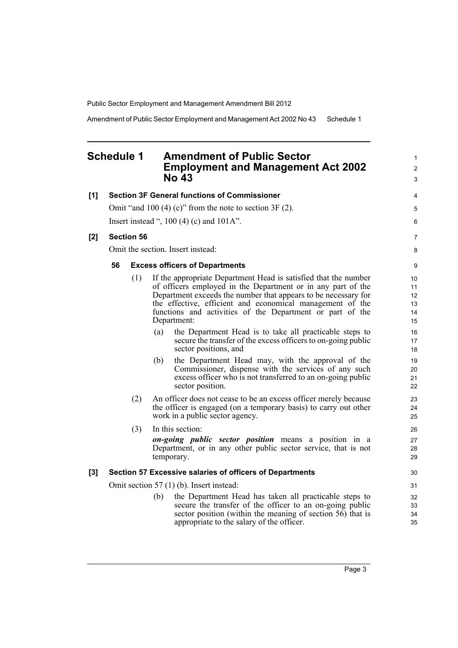Amendment of Public Sector Employment and Management Act 2002 No 43 Schedule 1

#### <span id="page-6-0"></span>**Schedule 1 Amendment of Public Sector Employment and Management Act 2002 No 43**

| [1] |                                                           | <b>Section 3F General functions of Commissioner</b> |                                                                                                                                                                                                                                                                                                                                            | 4                                |
|-----|-----------------------------------------------------------|-----------------------------------------------------|--------------------------------------------------------------------------------------------------------------------------------------------------------------------------------------------------------------------------------------------------------------------------------------------------------------------------------------------|----------------------------------|
|     | Omit "and 100 (4) (c)" from the note to section $3F(2)$ . |                                                     | 5                                                                                                                                                                                                                                                                                                                                          |                                  |
|     | Insert instead ", $100(4)$ (c) and $101A$ ".              |                                                     | 6                                                                                                                                                                                                                                                                                                                                          |                                  |
| [2] | <b>Section 56</b>                                         |                                                     | $\overline{7}$                                                                                                                                                                                                                                                                                                                             |                                  |
|     | Omit the section. Insert instead:                         |                                                     | 8                                                                                                                                                                                                                                                                                                                                          |                                  |
|     | 56<br><b>Excess officers of Departments</b>               |                                                     | 9                                                                                                                                                                                                                                                                                                                                          |                                  |
|     |                                                           | (1)                                                 | If the appropriate Department Head is satisfied that the number<br>of officers employed in the Department or in any part of the<br>Department exceeds the number that appears to be necessary for<br>the effective, efficient and economical management of the<br>functions and activities of the Department or part of the<br>Department: | 10<br>11<br>12<br>13<br>14<br>15 |
|     |                                                           |                                                     | the Department Head is to take all practicable steps to<br>(a)<br>secure the transfer of the excess officers to on-going public<br>sector positions, and                                                                                                                                                                                   | 16<br>17<br>18                   |
|     |                                                           |                                                     | the Department Head may, with the approval of the<br>(b)<br>Commissioner, dispense with the services of any such<br>excess officer who is not transferred to an on-going public<br>sector position.                                                                                                                                        | 19<br>20<br>21<br>22             |
|     |                                                           | (2)                                                 | An officer does not cease to be an excess officer merely because<br>the officer is engaged (on a temporary basis) to carry out other<br>work in a public sector agency.                                                                                                                                                                    | 23<br>24<br>25                   |
|     |                                                           | (3)                                                 | In this section:<br><i>on-going public sector position</i> means a position in a<br>Department, or in any other public sector service, that is not<br>temporary.                                                                                                                                                                           | 26<br>27<br>28<br>29             |
| [3] | Section 57 Excessive salaries of officers of Departments  |                                                     |                                                                                                                                                                                                                                                                                                                                            | 30                               |
|     | Omit section 57 $(1)$ (b). Insert instead:                |                                                     |                                                                                                                                                                                                                                                                                                                                            | 31                               |
|     |                                                           |                                                     | the Department Head has taken all practicable steps to<br>(b)<br>secure the transfer of the officer to an on-going public<br>sector position (within the meaning of section 56) that is<br>appropriate to the salary of the officer.                                                                                                       | 32<br>33<br>34<br>35             |

1 2 3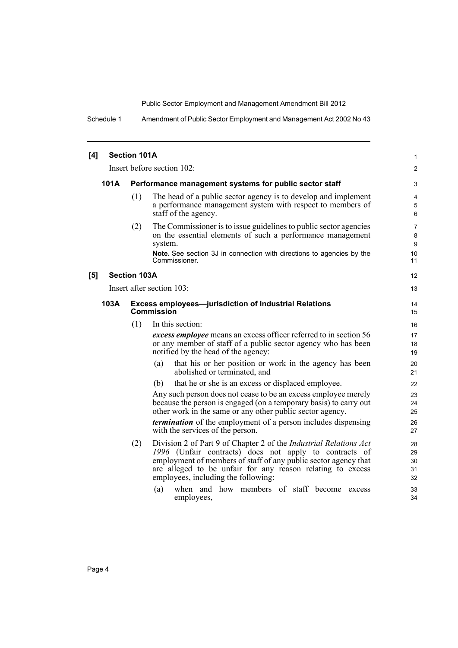Schedule 1 Amendment of Public Sector Employment and Management Act 2002 No 43

| [4] | <b>Section 101A</b>                                                                                                                                                       |                                                                                                          |                                                                                                                                                                                                                                                                                                            |                            |  |
|-----|---------------------------------------------------------------------------------------------------------------------------------------------------------------------------|----------------------------------------------------------------------------------------------------------|------------------------------------------------------------------------------------------------------------------------------------------------------------------------------------------------------------------------------------------------------------------------------------------------------------|----------------------------|--|
|     | Insert before section 102:                                                                                                                                                |                                                                                                          |                                                                                                                                                                                                                                                                                                            |                            |  |
|     | 101A<br>Performance management systems for public sector staff                                                                                                            |                                                                                                          |                                                                                                                                                                                                                                                                                                            |                            |  |
|     |                                                                                                                                                                           | (1)                                                                                                      | The head of a public sector agency is to develop and implement<br>a performance management system with respect to members of<br>staff of the agency.                                                                                                                                                       | 4<br>$\sqrt{5}$<br>$\,6\,$ |  |
|     |                                                                                                                                                                           | (2)                                                                                                      | The Commissioner is to issue guidelines to public sector agencies<br>on the essential elements of such a performance management<br>system.                                                                                                                                                                 | 7<br>8<br>9                |  |
|     |                                                                                                                                                                           |                                                                                                          | Note. See section 3J in connection with directions to agencies by the<br>Commissioner.                                                                                                                                                                                                                     | 10<br>11                   |  |
| [5] | <b>Section 103A</b>                                                                                                                                                       |                                                                                                          |                                                                                                                                                                                                                                                                                                            | 12                         |  |
|     | Insert after section 103:                                                                                                                                                 |                                                                                                          |                                                                                                                                                                                                                                                                                                            | 13                         |  |
|     | 103A<br><b>Excess employees-jurisdiction of Industrial Relations</b><br><b>Commission</b>                                                                                 |                                                                                                          |                                                                                                                                                                                                                                                                                                            | 14<br>15                   |  |
|     | (1)<br>In this section:                                                                                                                                                   |                                                                                                          |                                                                                                                                                                                                                                                                                                            | 16                         |  |
|     | excess employee means an excess officer referred to in section 56<br>or any member of staff of a public sector agency who has been<br>notified by the head of the agency: |                                                                                                          |                                                                                                                                                                                                                                                                                                            | 17<br>18<br>19             |  |
|     |                                                                                                                                                                           |                                                                                                          | that his or her position or work in the agency has been<br>(a)<br>abolished or terminated, and                                                                                                                                                                                                             | 20<br>21                   |  |
|     |                                                                                                                                                                           |                                                                                                          | that he or she is an excess or displaced employee.<br>(b)                                                                                                                                                                                                                                                  | 22                         |  |
|     |                                                                                                                                                                           |                                                                                                          | Any such person does not cease to be an excess employee merely<br>because the person is engaged (on a temporary basis) to carry out<br>other work in the same or any other public sector agency.                                                                                                           | 23<br>24<br>25             |  |
|     |                                                                                                                                                                           | <i>termination</i> of the employment of a person includes dispensing<br>with the services of the person. |                                                                                                                                                                                                                                                                                                            |                            |  |
|     |                                                                                                                                                                           | (2)                                                                                                      | Division 2 of Part 9 of Chapter 2 of the <i>Industrial Relations Act</i><br>1996 (Unfair contracts) does not apply to contracts of<br>employment of members of staff of any public sector agency that<br>are alleged to be unfair for any reason relating to excess<br>employees, including the following: | 28<br>29<br>30<br>31<br>32 |  |
|     |                                                                                                                                                                           |                                                                                                          | when and how members of staff become excess<br>(a)<br>employees,                                                                                                                                                                                                                                           | 33<br>34                   |  |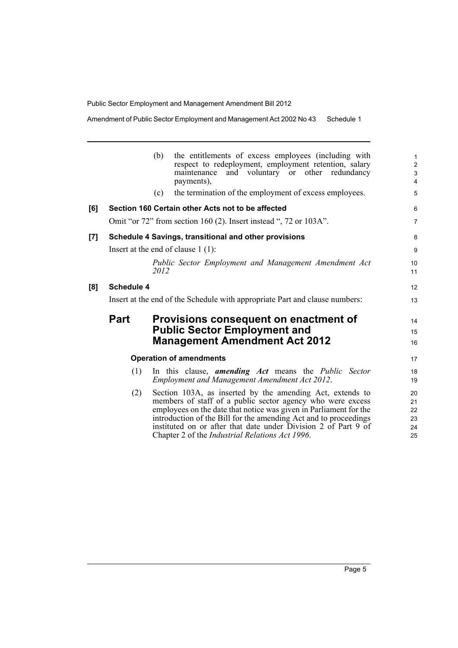Amendment of Public Sector Employment and Management Act 2002 No 43 Schedule 1

|                    |                                                                             | (b)<br>(c) | the entitlements of excess employees (including with<br>respect to redeployment, employment retention, salary<br>and voluntary or other redundancy<br>maintenance<br>payments),<br>the termination of the employment of excess employees.                                                                                                                                                     | $\mathbf{1}$<br>$\overline{2}$<br>$\mathbf{3}$<br>$\overline{4}$<br>5 |
|--------------------|-----------------------------------------------------------------------------|------------|-----------------------------------------------------------------------------------------------------------------------------------------------------------------------------------------------------------------------------------------------------------------------------------------------------------------------------------------------------------------------------------------------|-----------------------------------------------------------------------|
| [6]                |                                                                             |            | Section 160 Certain other Acts not to be affected                                                                                                                                                                                                                                                                                                                                             | 6                                                                     |
|                    |                                                                             |            | Omit "or 72" from section 160 (2). Insert instead ", 72 or 103A".                                                                                                                                                                                                                                                                                                                             | $\overline{7}$                                                        |
| $\left[ 7 \right]$ | Schedule 4 Savings, transitional and other provisions                       |            |                                                                                                                                                                                                                                                                                                                                                                                               |                                                                       |
|                    | Insert at the end of clause $1(1)$ :                                        |            |                                                                                                                                                                                                                                                                                                                                                                                               |                                                                       |
|                    |                                                                             | 2012       | Public Sector Employment and Management Amendment Act                                                                                                                                                                                                                                                                                                                                         | 10<br>11                                                              |
| [8]                | <b>Schedule 4</b>                                                           |            |                                                                                                                                                                                                                                                                                                                                                                                               | 12                                                                    |
|                    | Insert at the end of the Schedule with appropriate Part and clause numbers: |            |                                                                                                                                                                                                                                                                                                                                                                                               |                                                                       |
|                    | <b>Part</b>                                                                 |            | Provisions consequent on enactment of<br><b>Public Sector Employment and</b><br><b>Management Amendment Act 2012</b>                                                                                                                                                                                                                                                                          | 14<br>15<br>16                                                        |
|                    |                                                                             |            | <b>Operation of amendments</b>                                                                                                                                                                                                                                                                                                                                                                | 17                                                                    |
|                    | (1)                                                                         |            | In this clause, <b>amending Act</b> means the <i>Public Sector</i><br><b>Employment and Management Amendment Act 2012.</b>                                                                                                                                                                                                                                                                    | 18<br>19                                                              |
|                    | (2)                                                                         |            | Section 103A, as inserted by the amending Act, extends to<br>members of staff of a public sector agency who were excess<br>employees on the date that notice was given in Parliament for the<br>introduction of the Bill for the amending Act and to proceedings<br>instituted on or after that date under Division 2 of Part 9 of<br>Chapter 2 of the <i>Industrial Relations Act 1996</i> . | 20<br>21<br>22<br>23<br>24<br>25                                      |